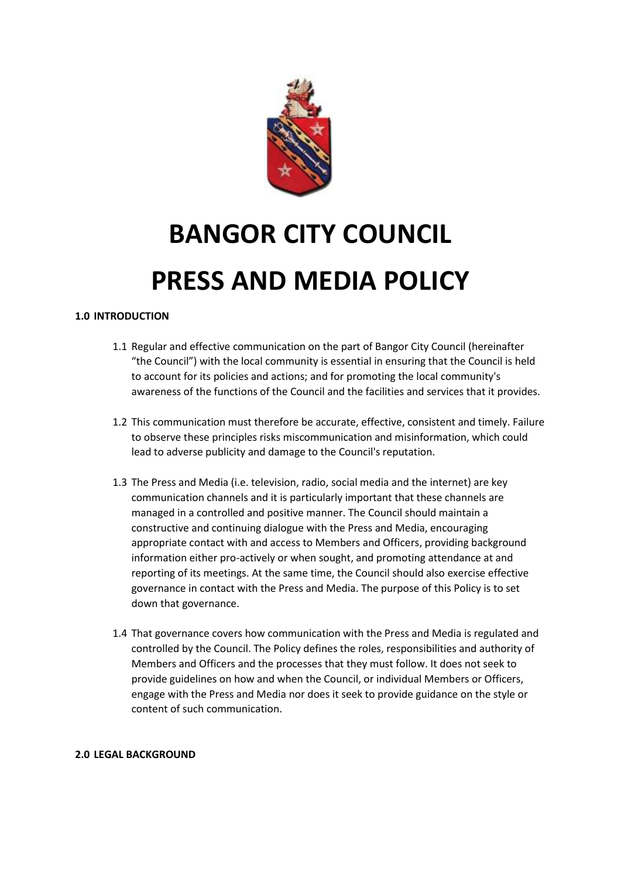

## **BANGOR CITY COUNCIL PRESS AND MEDIA POLICY**

## **1.0 INTRODUCTION**

- 1.1 Regular and effective communication on the part of Bangor City Council (hereinafter "the Council") with the local community is essential in ensuring that the Council is held to account for its policies and actions; and for promoting the local community's awareness of the functions of the Council and the facilities and services that it provides.
- 1.2 This communication must therefore be accurate, effective, consistent and timely. Failure to observe these principles risks miscommunication and misinformation, which could lead to adverse publicity and damage to the Council's reputation.
- 1.3 The Press and Media (i.e. television, radio, social media and the internet) are key communication channels and it is particularly important that these channels are managed in a controlled and positive manner. The Council should maintain a constructive and continuing dialogue with the Press and Media, encouraging appropriate contact with and access to Members and Officers, providing background information either pro-actively or when sought, and promoting attendance at and reporting of its meetings. At the same time, the Council should also exercise effective governance in contact with the Press and Media. The purpose of this Policy is to set down that governance.
- 1.4 That governance covers how communication with the Press and Media is regulated and controlled by the Council. The Policy defines the roles, responsibilities and authority of Members and Officers and the processes that they must follow. It does not seek to provide guidelines on how and when the Council, or individual Members or Officers, engage with the Press and Media nor does it seek to provide guidance on the style or content of such communication.

## **2.0 LEGAL BACKGROUND**